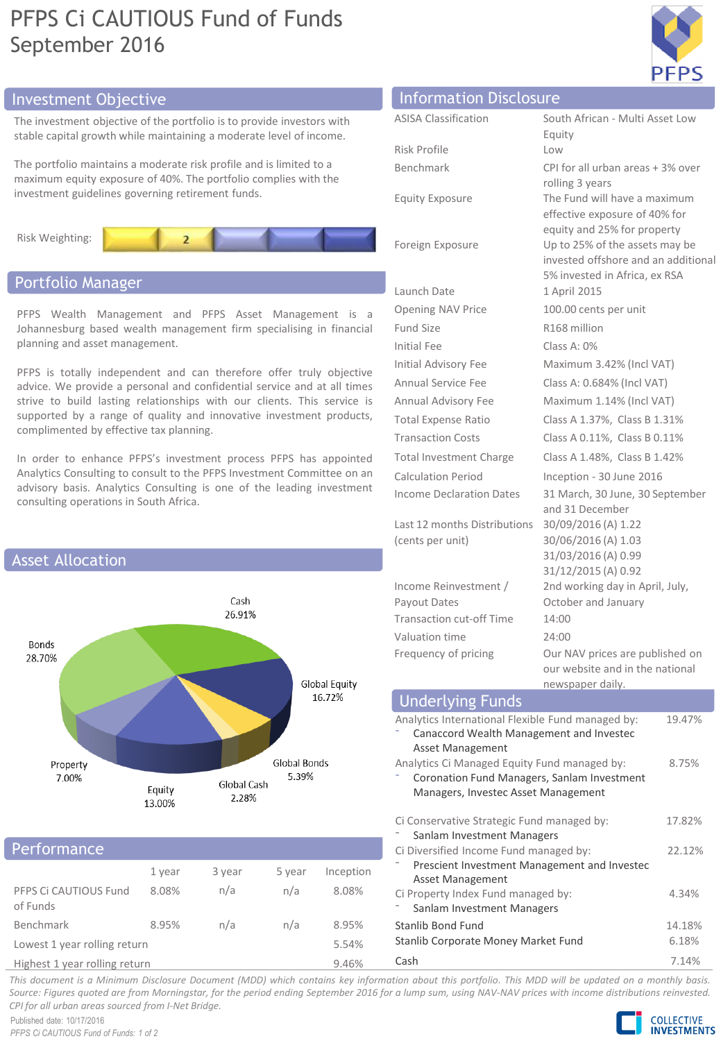# PFPS Ci CAUTIOUS Fund of Funds September 2016



The investment objective of the portfolio is to provide investors with stable capital growth while maintaining a moderate level of income.

The portfolio maintains a moderate risk profile and is limited to a maximum equity exposure of 40%. The portfolio complies with the investment guidelines governing retirement funds.



### Portfolio Manager

PFPS Wealth Management and PFPS Asset Management is a Johannesburg based wealth management firm specialising in financial planning and asset management.

PFPS is totally independent and can therefore offer truly objective advice. We provide a personal and confidential service and at all times strive to build lasting relationships with our clients. This service is supported by a range of quality and innovative investment products, complimented by effective tax planning.

In order to enhance PFPS's investment process PFPS has appointed Analytics Consulting to consult to the PFPS Investment Committee on an advisory basis. Analytics Consulting is one of the leading investment consulting operations in South Africa.



#### Performance

|                                   | 1 year | 3 year | 5 year | Inception |
|-----------------------------------|--------|--------|--------|-----------|
| PFPS Ci CAUTIOUS Fund<br>of Funds | 8.08%  | n/a    | n/a    | 8.08%     |
| Benchmark                         | 8.95%  | n/a    | n/a    | 8.95%     |
| Lowest 1 year rolling return      |        |        |        | 5.54%     |
|                                   |        |        |        |           |

Highest 1 year rolling return 9.46%

### ASISA Classification South African - Multi Asset Low Investment Objective Information Disclosure

|                                                                   | Equity                                          |  |  |  |
|-------------------------------------------------------------------|-------------------------------------------------|--|--|--|
| Risk Profile                                                      | Low                                             |  |  |  |
| Benchmark                                                         | CPI for all urban areas + 3% over               |  |  |  |
| <b>Equity Exposure</b>                                            | rolling 3 years<br>The Fund will have a maximum |  |  |  |
|                                                                   | effective exposure of 40% for                   |  |  |  |
|                                                                   | equity and 25% for property                     |  |  |  |
| Foreign Exposure                                                  | Up to 25% of the assets may be                  |  |  |  |
|                                                                   | invested offshore and an additional             |  |  |  |
|                                                                   | 5% invested in Africa, ex RSA                   |  |  |  |
| Launch Date                                                       | 1 April 2015                                    |  |  |  |
| <b>Opening NAV Price</b>                                          | 100.00 cents per unit                           |  |  |  |
| Fund Size                                                         | R <sub>168</sub> million                        |  |  |  |
| Initial Fee                                                       | Class A: 0%                                     |  |  |  |
| Initial Advisory Fee                                              | Maximum 3.42% (Incl VAT)                        |  |  |  |
| <b>Annual Service Fee</b>                                         | Class A: 0.684% (Incl VAT)                      |  |  |  |
| Annual Advisory Fee                                               | Maximum 1.14% (Incl VAT)                        |  |  |  |
| <b>Total Expense Ratio</b>                                        | Class A 1.37%, Class B 1.31%                    |  |  |  |
| <b>Transaction Costs</b>                                          | Class A 0.11%, Class B 0.11%                    |  |  |  |
| <b>Total Investment Charge</b>                                    | Class A 1.48%, Class B 1.42%                    |  |  |  |
| <b>Calculation Period</b>                                         | Inception - 30 June 2016                        |  |  |  |
| <b>Income Declaration Dates</b>                                   | 31 March, 30 June, 30 September                 |  |  |  |
|                                                                   | and 31 December                                 |  |  |  |
| Last 12 months Distributions                                      | 30/09/2016 (A) 1.22                             |  |  |  |
| (cents per unit)                                                  | 30/06/2016 (A) 1.03<br>31/03/2016 (A) 0.99      |  |  |  |
|                                                                   | 31/12/2015 (A) 0.92                             |  |  |  |
| Income Reinvestment /                                             | 2nd working day in April, July,                 |  |  |  |
| Payout Dates                                                      | October and January                             |  |  |  |
| <b>Transaction cut-off Time</b>                                   | 14:00                                           |  |  |  |
| Valuation time                                                    | 24:00                                           |  |  |  |
| Frequency of pricing                                              | Our NAV prices are published on                 |  |  |  |
|                                                                   | our website and in the national                 |  |  |  |
|                                                                   | newspaper daily.                                |  |  |  |
| <b>Underlying Funds</b><br>al Floydela Fund monogod hu<br>10.170/ |                                                 |  |  |  |

| Underlying Funds                                                                              |        |
|-----------------------------------------------------------------------------------------------|--------|
| Analytics International Flexible Fund managed by:<br>Canaccord Wealth Management and Invested | 19.47% |
| Asset Management                                                                              |        |
| Analytics Ci Managed Equity Fund managed by:                                                  | 8.75%  |
| Coronation Fund Managers, Sanlam Investment                                                   |        |
| Managers, Investec Asset Management                                                           |        |
| Ci Conservative Strategic Fund managed by:<br>Sanlam Investment Managers                      | 17.82% |
| Ci Diversified Income Fund managed by:                                                        | 22.12% |
| Prescient Investment Management and Investec<br>Asset Management                              |        |
| Ci Property Index Fund managed by:                                                            | 4.34%  |
| Sanlam Investment Managers                                                                    |        |
| Stanlib Bond Fund                                                                             | 14.18% |
| Stanlib Corporate Money Market Fund                                                           | 6.18%  |

Cash 7.14%

This document is a Minimum Disclosure Document (MDD) which contains key information about this portfolio. This MDD will be updated on a monthly basis. Source: Figures quoted are from Morningstar, for the period ending September 2016 for a lump sum, using NAV-NAV prices with income distributions reinvested. *CPI for all urban areas sourced from I-Net Bridge.*

Published date: 10/17/2016 *PFPS Ci CAUTIOUS Fund of Funds: 1 of 2*